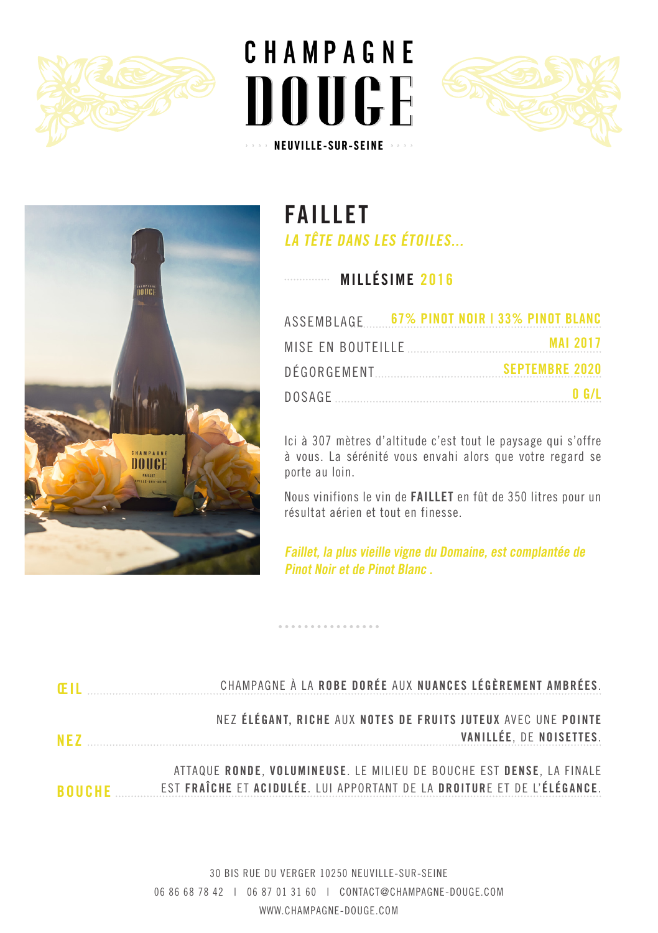







**FAILLET LA TÊTE DANS LES ÉTOILES...**

**MILLÉSIME 2016**

|  | 0 G/L |
|--|-------|

Ici à 307 mètres d'altitude c'est tout le paysage qui s'offre à vous. La sérénité vous envahi alors que votre regard se porte au loin.

Nous vinifions le vin de **FAILLET** en fût de 350 litres pour un résultat aérien et tout en finesse.

**Faillet, la plus vieille vigne du Domaine, est complantée de Pinot Noir et de Pinot Blanc .**

. . . . . . . . . . . .

| <b>FII</b> | CHAMPAGNE À LA ROBE DORÉE AUX NUANCES LÉGÈREMENT AMBRÉES.                                                                                       |
|------------|-------------------------------------------------------------------------------------------------------------------------------------------------|
| <b>NF7</b> | NEZ ÉLÉGANT, RICHE AUX NOTES DE FRUITS JUTEUX AVEC UNE POINTE<br>VANILLÉE, DE NOISETTES.                                                        |
| ROUCHE     | ATTAQUE RONDE, VOLUMINEUSE. LE MILIEU DE BOUCHE EST DENSE, LA FINALE<br>EST FRAÎCHE ET ACIDULÉE. LUI APPORTANT DE LA DROITURE ET DE L'ÉLÉGANCE. |

30 BIS RUE DU VERGER 10250 NEUVILLE-SUR-SEINE 06 86 68 78 42 | 06 87 01 31 60 | CONTACT@CHAMPAGNE-DOUGE.COM WWW.CHAMPAGNE-DOUGE.COM